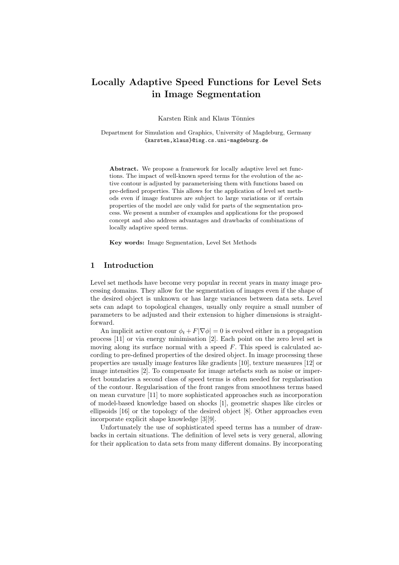# Locally Adaptive Speed Functions for Level Sets in Image Segmentation

Karsten Rink and Klaus Tönnies

Department for Simulation and Graphics, University of Magdeburg, Germany {karsten,klaus}@isg.cs.uni-magdeburg.de

Abstract. We propose a framework for locally adaptive level set functions. The impact of well-known speed terms for the evolution of the active contour is adjusted by parameterising them with functions based on pre-defined properties. This allows for the application of level set methods even if image features are subject to large variations or if certain properties of the model are only valid for parts of the segmentation process. We present a number of examples and applications for the proposed concept and also address advantages and drawbacks of combinations of locally adaptive speed terms.

Key words: Image Segmentation, Level Set Methods

### 1 Introduction

Level set methods have become very popular in recent years in many image processing domains. They allow for the segmentation of images even if the shape of the desired object is unknown or has large variances between data sets. Level sets can adapt to topological changes, usually only require a small number of parameters to be adjusted and their extension to higher dimensions is straightforward.

An implicit active contour  $\phi_t + F|\nabla \phi| = 0$  is evolved either in a propagation process [11] or via energy minimisation [2]. Each point on the zero level set is moving along its surface normal with a speed  $F$ . This speed is calculated according to pre-defined properties of the desired object. In image processing these properties are usually image features like gradients [10], texture measures [12] or image intensities [2]. To compensate for image artefacts such as noise or imperfect boundaries a second class of speed terms is often needed for regularisation of the contour. Regularisation of the front ranges from smoothness terms based on mean curvature [11] to more sophisticated approaches such as incorporation of model-based knowledge based on shocks [1], geometric shapes like circles or ellipsoids [16] or the topology of the desired object [8]. Other approaches even incorporate explicit shape knowledge [3][9].

Unfortunately the use of sophisticated speed terms has a number of drawbacks in certain situations. The definition of level sets is very general, allowing for their application to data sets from many different domains. By incorporating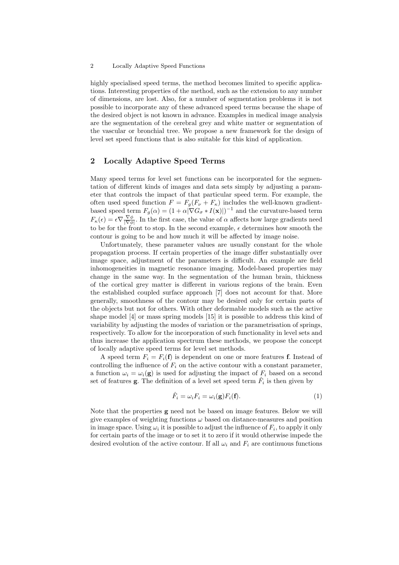#### 2 Locally Adaptive Speed Functions

highly specialised speed terms, the method becomes limited to specific applications. Interesting properties of the method, such as the extension to any number of dimensions, are lost. Also, for a number of segmentation problems it is not possible to incorporate any of these advanced speed terms because the shape of the desired object is not known in advance. Examples in medical image analysis are the segmentation of the cerebral grey and white matter or segmentation of the vascular or bronchial tree. We propose a new framework for the design of level set speed functions that is also suitable for this kind of application.

# 2 Locally Adaptive Speed Terms

Many speed terms for level set functions can be incorporated for the segmentation of different kinds of images and data sets simply by adjusting a parameter that controls the impact of that particular speed term. For example, the often used speed function  $F = F_q(F_\nu + F_\kappa)$  includes the well-known gradientbased speed term  $F_g(\alpha) = (1 + \alpha |\nabla G_{\sigma} * I(\mathbf{x})|)^{-1}$  and the curvature-based term  $F_{\kappa}(\epsilon) = \epsilon \nabla \frac{\nabla \phi}{|\nabla \phi|}$ . In the first case, the value of  $\alpha$  affects how large gradients need to be for the front to stop. In the second example,  $\epsilon$  determines how smooth the contour is going to be and how much it will be affected by image noise.

Unfortunately, these parameter values are usually constant for the whole propagation process. If certain properties of the image differ substantially over image space, adjustment of the parameters is difficult. An example are field inhomogeneities in magnetic resonance imaging. Model-based properties may change in the same way. In the segmentation of the human brain, thickness of the cortical grey matter is different in various regions of the brain. Even the established coupled surface approach [7] does not account for that. More generally, smoothness of the contour may be desired only for certain parts of the objects but not for others. With other deformable models such as the active shape model [4] or mass spring models [15] it is possible to address this kind of variability by adjusting the modes of variation or the parametrisation of springs, respectively. To allow for the incorporation of such functionality in level sets and thus increase the application spectrum these methods, we propose the concept of locally adaptive speed terms for level set methods.

A speed term  $F_i = F_i(f)$  is dependent on one or more features f. Instead of controlling the influence of  $F_i$  on the active contour with a constant parameter, a function  $\omega_i = \omega_i(\mathbf{g})$  is used for adjusting the impact of  $F_i$  based on a second set of features **g**. The definition of a level set speed term  $\hat{F}_i$  is then given by

$$
\hat{F}_i = \omega_i F_i = \omega_i(\mathbf{g}) F_i(\mathbf{f}). \tag{1}
$$

Note that the properties g need not be based on image features. Below we will give examples of weighting functions  $\omega$  based on distance-measures and position in image space. Using  $\omega_i$  it is possible to adjust the influence of  $F_i$ , to apply it only for certain parts of the image or to set it to zero if it would otherwise impede the desired evolution of the active contour. If all  $\omega_i$  and  $F_i$  are continuous functions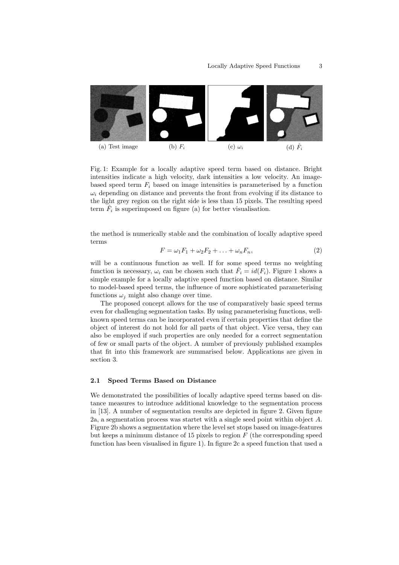

Fig. 1: Example for a locally adaptive speed term based on distance. Bright intensities indicate a high velocity, dark intensities a low velocity. An imagebased speed term  $F_i$  based on image intensities is parameterised by a function  $\omega_i$  depending on distance and prevents the front from evolving if its distance to the light grey region on the right side is less than 15 pixels. The resulting speed term  $\hat{F}_i$  is superimposed on figure (a) for better visualisation.

the method is numerically stable and the combination of locally adaptive speed terms

$$
F = \omega_1 F_1 + \omega_2 F_2 + \ldots + \omega_n F_n,\tag{2}
$$

will be a continuous function as well. If for some speed terms no weighting function is necessary,  $\omega_i$  can be chosen such that  $\hat{F}_i = id(F_i)$ . Figure 1 shows a simple example for a locally adaptive speed function based on distance. Similar to model-based speed terms, the influence of more sophisticated parameterising functions  $\omega_i$  might also change over time.

The proposed concept allows for the use of comparatively basic speed terms even for challenging segmentation tasks. By using parameterising functions, wellknown speed terms can be incorporated even if certain properties that define the object of interest do not hold for all parts of that object. Vice versa, they can also be employed if such properties are only needed for a correct segmentation of few or small parts of the object. A number of previously published examples that fit into this framework are summarised below. Applications are given in section 3.

#### 2.1 Speed Terms Based on Distance

We demonstrated the possibilities of locally adaptive speed terms based on distance measures to introduce additional knowledge to the segmentation process in [13]. A number of segmentation results are depicted in figure 2. Given figure 2a, a segmentation process was startet with a single seed point within object A. Figure 2b shows a segmentation where the level set stops based on image-features but keeps a minimum distance of 15 pixels to region  $F$  (the corresponding speed function has been visualised in figure 1). In figure 2c a speed function that used a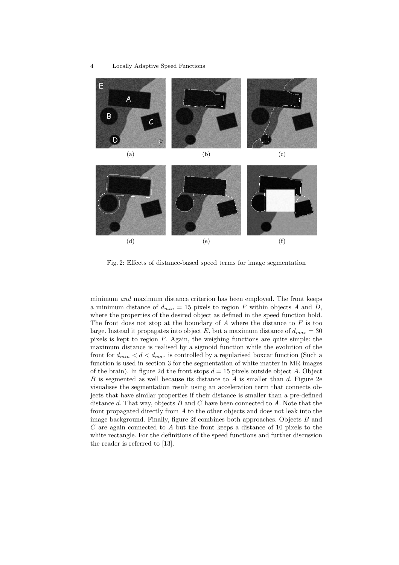

Fig. 2: Effects of distance-based speed terms for image segmentation

minimum and maximum distance criterion has been employed. The front keeps a minimum distance of  $d_{min} = 15$  pixels to region F within objects A and D, where the properties of the desired object as defined in the speed function hold. The front does not stop at the boundary of  $A$  where the distance to  $F$  is too large. Instead it propagates into object E, but a maximum distance of  $d_{max} = 30$ pixels is kept to region  $F$ . Again, the weighing functions are quite simple: the maximum distance is realised by a sigmoid function while the evolution of the front for  $d_{min} < d < d_{max}$  is controlled by a regularised boxcar function (Such a function is used in section 3 for the segmentation of white matter in MR images of the brain). In figure 2d the front stops  $d = 15$  pixels outside object A. Object B is segmented as well because its distance to  $A$  is smaller than  $d$ . Figure 2e visualises the segmentation result using an acceleration term that connects objects that have similar properties if their distance is smaller than a pre-defined distance  $d$ . That way, objects  $B$  and  $C$  have been connected to  $A$ . Note that the front propagated directly from A to the other objects and does not leak into the image background. Finally, figure 2f combines both approaches. Objects B and  $C$  are again connected to  $A$  but the front keeps a distance of 10 pixels to the white rectangle. For the definitions of the speed functions and further discussion the reader is referred to [13].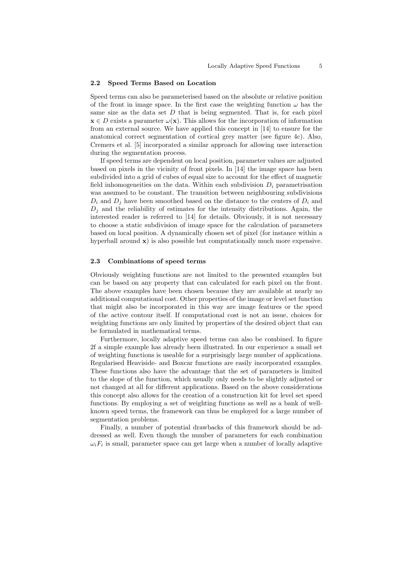#### 2.2 Speed Terms Based on Location

Speed terms can also be parameterised based on the absolute or relative position of the front in image space. In the first case the weighting function  $\omega$  has the same size as the data set  $D$  that is being segmented. That is, for each pixel  $\mathbf{x} \in D$  exists a parameter  $\omega(\mathbf{x})$ . This allows for the incorporation of information from an external source. We have applied this concept in [14] to ensure for the anatomical correct segmentation of cortical grey matter (see figure 4c). Also, Cremers et al. [5] incorporated a similar approach for allowing user interaction during the segmentation process.

If speed terms are dependent on local position, parameter values are adjusted based on pixels in the vicinity of front pixels. In [14] the image space has been subdivided into a grid of cubes of equal size to account for the effect of magnetic field inhomogeneities on the data. Within each subdivision  $D_i$  parametrisation was assumed to be constant. The transition between neighbouring subdivisions  $D_i$  and  $D_j$  have been smoothed based on the distance to the centers of  $D_i$  and  $D_i$  and the reliability of estimates for the intensity distributions. Again, the interested reader is referred to [14] for details. Obviously, it is not necessary to choose a static subdivision of image space for the calculation of parameters based on local position. A dynamically chosen set of pixel (for instance within a hyperball around  $\mathbf{x}$ ) is also possible but computationally much more expensive.

#### 2.3 Combinations of speed terms

Obviously weighting functions are not limited to the presented examples but can be based on any property that can calculated for each pixel on the front. The above examples have been chosen because they are available at nearly no additional computational cost. Other properties of the image or level set function that might also be incorporated in this way are image features or the speed of the active contour itself. If computational cost is not an issue, choices for weighting functions are only limited by properties of the desired object that can be formulated in mathematical terms.

Furthermore, locally adaptive speed terms can also be combined. In figure 2f a simple example has already been illustrated. In our experience a small set of weighting functions is useable for a surprisingly large number of applications. Regularised Heaviside- and Boxcar functions are easily incorporated examples. These functions also have the advantage that the set of parameters is limited to the slope of the function, which usually only needs to be slightly adjusted or not changed at all for different applications. Based on the above considerations this concept also allows for the creation of a construction kit for level set speed functions. By employing a set of weighting functions as well as a bank of wellknown speed terms, the framework can thus be employed for a large number of segmentation problems.

Finally, a number of potential drawbacks of this framework should be addressed as well. Even though the number of parameters for each combination  $\omega_i F_i$  is small, parameter space can get large when a number of locally adaptive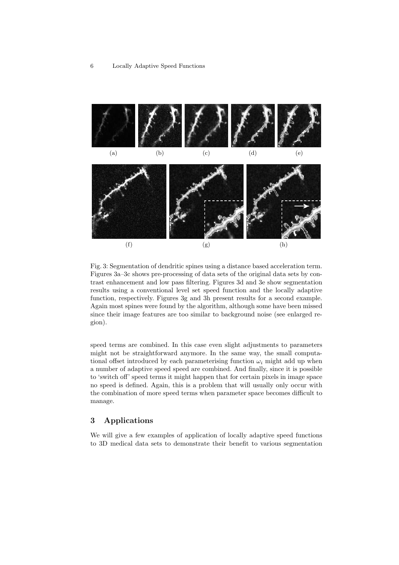

Fig. 3: Segmentation of dendritic spines using a distance based acceleration term. Figures 3a–3c shows pre-processing of data sets of the original data sets by contrast enhancement and low pass filtering. Figures 3d and 3e show segmentation results using a conventional level set speed function and the locally adaptive function, respectively. Figures 3g and 3h present results for a second example. Again most spines were found by the algorithm, although some have been missed since their image features are too similar to background noise (see enlarged region).

speed terms are combined. In this case even slight adjustments to parameters might not be straightforward anymore. In the same way, the small computational offset introduced by each parameterising function  $\omega_i$  might add up when a number of adaptive speed speed are combined. And finally, since it is possible to 'switch off' speed terms it might happen that for certain pixels in image space no speed is defined. Again, this is a problem that will usually only occur with the combination of more speed terms when parameter space becomes difficult to manage.

## 3 Applications

We will give a few examples of application of locally adaptive speed functions to 3D medical data sets to demonstrate their benefit to various segmentation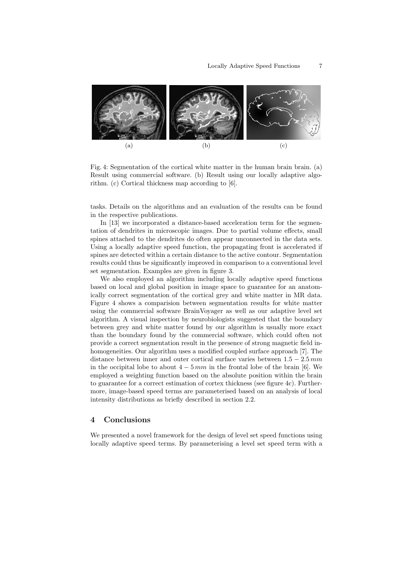

Fig. 4: Segmentation of the cortical white matter in the human brain brain. (a) Result using commercial software. (b) Result using our locally adaptive algorithm. (c) Cortical thickness map according to [6].

tasks. Details on the algorithms and an evaluation of the results can be found in the respective publications.

In [13] we incorporated a distance-based acceleration term for the segmentation of dendrites in microscopic images. Due to partial volume effects, small spines attached to the dendrites do often appear unconnected in the data sets. Using a locally adaptive speed function, the propagating front is accelerated if spines are detected within a certain distance to the active contour. Segmentation results could thus be significantly improved in comparison to a conventional level set segmentation. Examples are given in figure 3.

We also employed an algorithm including locally adaptive speed functions based on local and global position in image space to guarantee for an anatomically correct segmentation of the cortical grey and white matter in MR data. Figure 4 shows a comparision between segmentation results for white matter using the commercial software BrainVoyager as well as our adaptive level set algorithm. A visual inspection by neurobiologists suggested that the boundary between grey and white matter found by our algorithm is usually more exact than the boundary found by the commercial software, which could often not provide a correct segmentation result in the presence of strong magnetic field inhomogeneities. Our algorithm uses a modified coupled surface approach [7]. The distance between inner and outer cortical surface varies between  $1.5 - 2.5 \, mm$ in the occipital lobe to about  $4 - 5 \, mm$  in the frontal lobe of the brain [6]. We employed a weighting function based on the absolute position within the brain to guarantee for a correct estimation of cortex thickness (see figure 4c). Furthermore, image-based speed terms are parameterised based on an analysis of local intensity distributions as briefly described in section 2.2.

#### 4 Conclusions

We presented a novel framework for the design of level set speed functions using locally adaptive speed terms. By parameterising a level set speed term with a